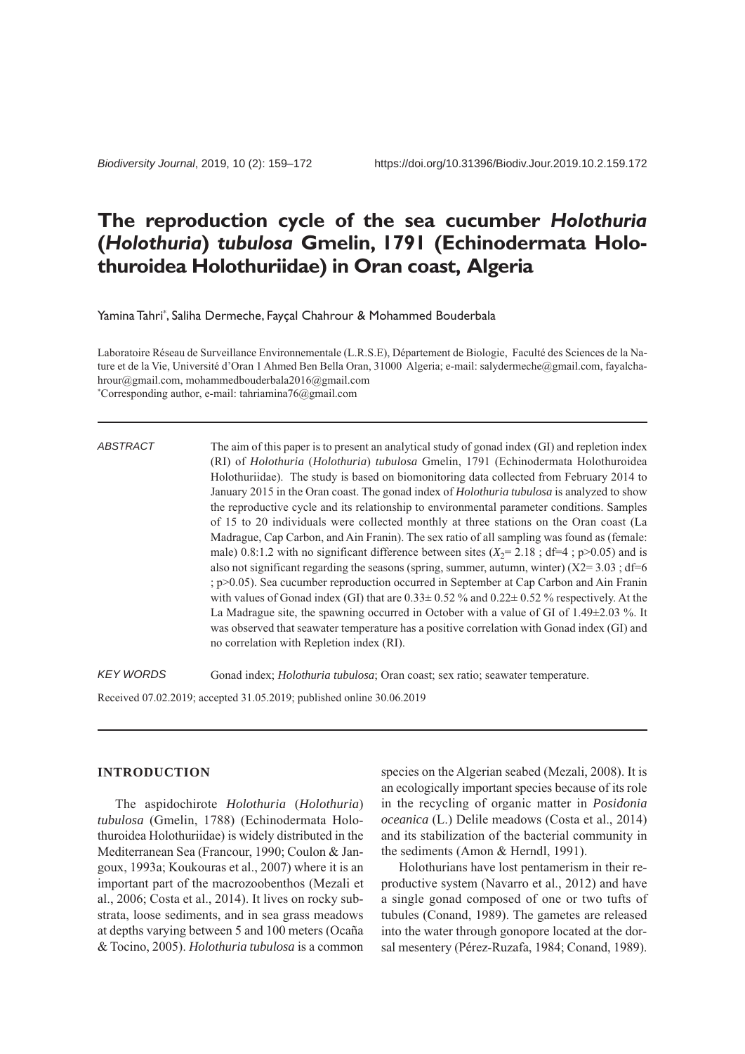# **The reproduction cycle of the sea cucumber** *Holothuria* **(***Holothuria***)** *tubulosa* **Gmelin, 1791 (Echinodermata Holothuroidea Holothuriidae) in Oran coast, Algeria**

Yamina Tahri\* , Saliha Dermeche, Fayçal Chahrour & Mohammed Bouderbala

Laboratoire Réseau de Surveillance Environnementale (L.R.S.E), Département de Biologie, Faculté des Sciences de la Nature et de la Vie, Université d'Oran 1 Ahmed Ben Bella Oran, 31000 Algeria; e-mail: salydermeche@gmail.com, fayalchahrour@gmail.com, mohammedbouderbala2016@gmail.com \* Corresponding author, e-mail: tahriamina76@gmail.com

#### *ABSTRACT*

The aim of this paper is to present an analytical study of gonad index (GI) and repletion index (RI) of *Holothuria* (*Holothuria*) *tubulosa* Gmelin, 1791 (Echinodermata Holothuroidea Holothuriidae). The study is based on biomonitoring data collected from February 2014 to January 2015 in the Oran coast. The gonad index of *Holothuria tubulosa* is analyzed to show the reproductive cycle and its relationship to environmental parameter conditions. Samples of 15 to 20 individuals were collected monthly at three stations on the Oran coast (La Madrague, Cap Carbon, and Ain Franin). The sex ratio of all sampling was found as (female: male) 0.8:1.2 with no significant difference between sites ( $X_2$ = 2.18; df=4; p>0.05) and is also not significant regarding the seasons (spring, summer, autumn, winter)  $(X2=3.03; df=6$ ; p>0.05). Sea cucumber reproduction occurred in September at Cap Carbon and Ain Franin with values of Gonad index (GI) that are  $0.33 \pm 0.52$  % and  $0.22 \pm 0.52$  % respectively. At the La Madrague site, the spawning occurred in October with a value of GI of 1.49±2.03 %. It was observed that seawater temperature has a positive correlation with Gonad index (GI) and no correlation with Repletion index (RI).

*KEY WORDS* Gonad index; *Holothuria tubulosa*; Oran coast; sex ratio; seawater temperature.

Received 07.02.2019; accepted 31.05.2019; published online 30.06.2019

## **INTRODUCTION**

The aspidochirote *Holothuria* (*Holothuria*) *tubulosa* (Gmelin, 1788) (Echinodermata Holothuroidea Holothuriidae) is widely distributed in the Mediterranean Sea (Francour, 1990; Coulon & Jangoux, 1993a; Koukouras et al., 2007) where it is an important part of the macrozoobenthos (Mezali et al., 2006; Costa et al., 2014). It lives on rocky substrata, loose sediments, and in sea grass meadows at depths varying between 5 and 100 meters (Ocaña & Tocino, 2005). *Holothuria tubulosa* is a common

species on the Algerian seabed (Mezali, 2008). It is an ecologically important species because of its role in the recycling of organic matter in *Posidonia oceanica* (L.) Delile meadows (Costa et al., 2014) and its stabilization of the bacterial community in the sediments (Amon & Herndl, 1991).

Holothurians have lost pentamerism in their reproductive system (Navarro et al., 2012) and have a single gonad composed of one or two tufts of tubules (Conand, 1989). The gametes are released into the water through gonopore located at the dorsal mesentery (Pérez-Ruzafa, 1984; Conand, 1989).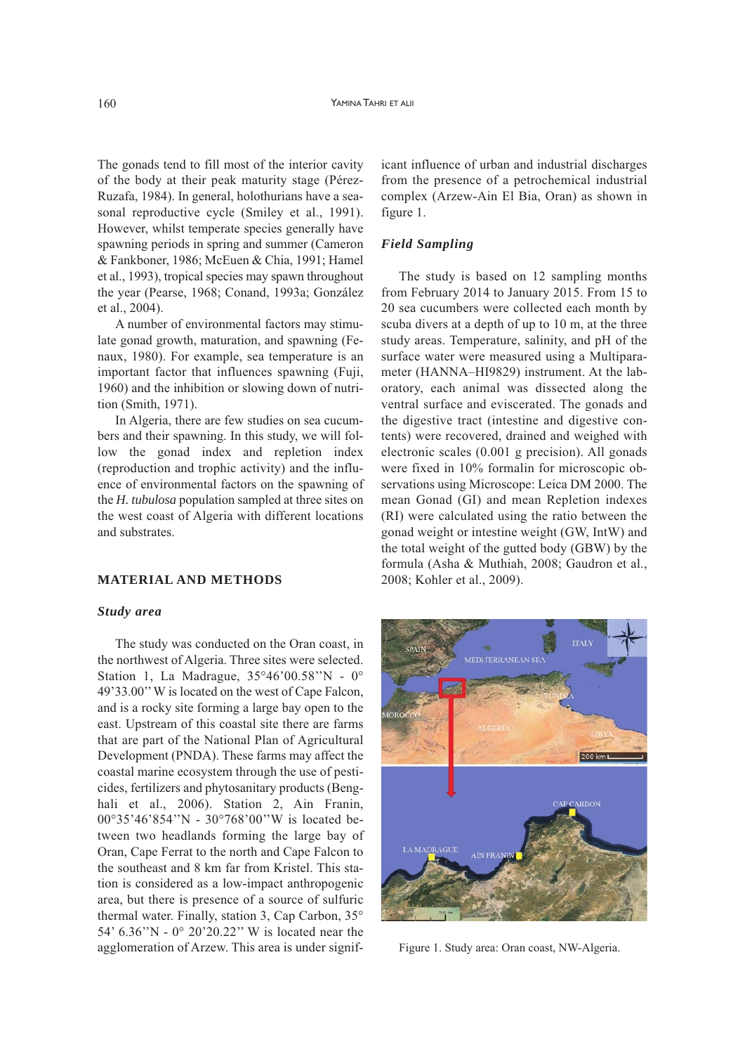The gonads tend to fill most of the interior cavity of the body at their peak maturity stage (Pérez-Ruzafa, 1984). In general, holothurians have a seasonal reproductive cycle (Smiley et al., 1991). However, whilst temperate species generally have spawning periods in spring and summer (Cameron & Fankboner, 1986; McEuen & Chia, 1991; Hamel et al., 1993), tropical species may spawn throughout the year (Pearse, 1968; Conand, 1993a; González et al., 2004).

A number of environmental factors may stimulate gonad growth, maturation, and spawning (Fenaux, 1980). For example, sea temperature is an important factor that influences spawning (Fuji, 1960) and the inhibition or slowing down of nutrition (Smith, 1971).

In Algeria, there are few studies on sea cucumbers and their spawning. In this study, we will follow the gonad index and repletion index (reproduction and trophic activity) and the influence of environmental factors on the spawning of the *H. tubulosa* population sampled at three sites on the west coast of Algeria with different locations and substrates.

#### **MATERIAL AND METHODS**

### *Study area*

The study was conducted on the Oran coast, in the northwest of Algeria. Three sites were selected. Station 1, La Madrague, 35°46'00.58''N - 0° 49'33.00'' W is located on the west of Cape Falcon, and is a rocky site forming a large bay open to the east. Upstream of this coastal site there are farms that are part of the National Plan of Agricultural Development (PNDA). These farms may affect the coastal marine ecosystem through the use of pesticides, fertilizers and phytosanitary products (Benghali et al., 2006). Station 2, Ain Franin, 00°35'46'854''N - 30°768'00''W is located between two headlands forming the large bay of Oran, Cape Ferrat to the north and Cape Falcon to the southeast and 8 km far from Kristel. This station is considered as a low-impact anthropogenic area, but there is presence of a source of sulfuric thermal water. Finally, station 3, Cap Carbon, 35° 54' 6.36''N - 0° 20'20.22'' W is located near the agglomeration of Arzew. This area is under significant influence of urban and industrial discharges from the presence of a petrochemical industrial complex (Arzew-Ain El Bia, Oran) as shown in figure 1.

#### *Field Sampling*

The study is based on 12 sampling months from February 2014 to January 2015. From 15 to 20 sea cucumbers were collected each month by scuba divers at a depth of up to 10 m, at the three study areas. Temperature, salinity, and pH of the surface water were measured using a Multiparameter (HANNA–HI9829) instrument. At the laboratory, each animal was dissected along the ventral surface and eviscerated. The gonads and the digestive tract (intestine and digestive contents) were recovered, drained and weighed with electronic scales (0.001 g precision). All gonads were fixed in 10% formalin for microscopic observations using Microscope: Leica DM 2000. The mean Gonad (GI) and mean Repletion indexes (RI) were calculated using the ratio between the gonad weight or intestine weight (GW, IntW) and the total weight of the gutted body (GBW) by the formula (Asha & Muthiah, 2008; Gaudron et al., 2008; Kohler et al., 2009).



Figure 1. Study area: Oran coast, NW-Algeria.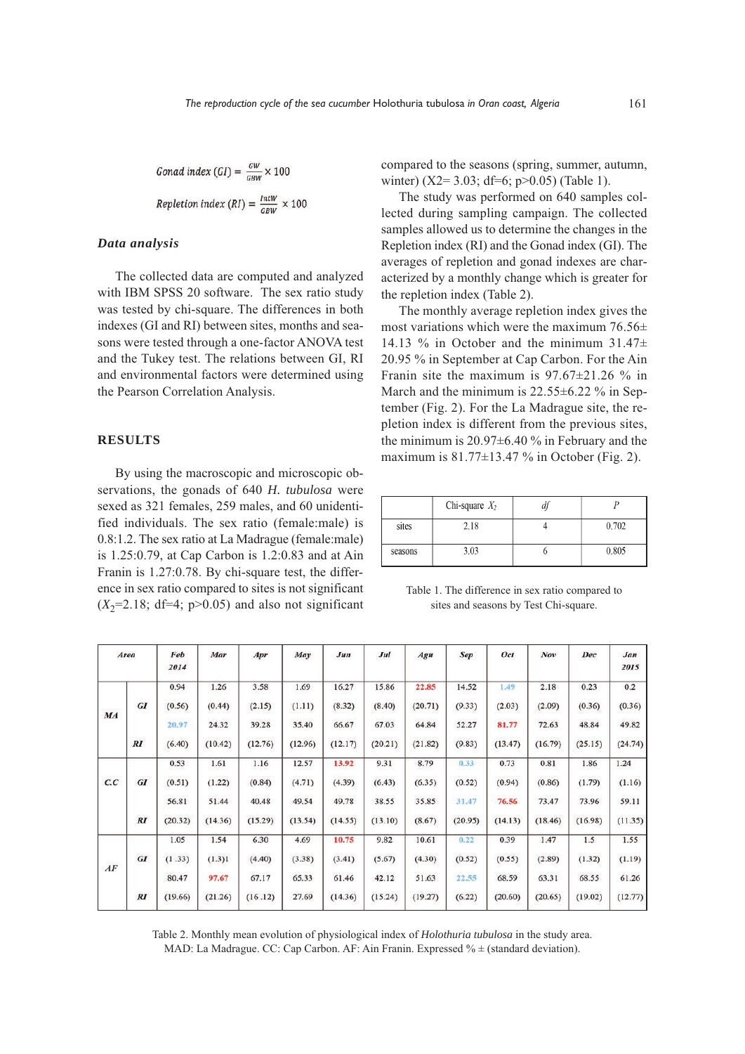Gonad index (GI) = 
$$
\frac{GW}{GBW} \times 100
$$
  
Repletion index (RI) =  $\frac{lntW}{GBW} \times 100$ 

## *Data analysis*

The collected data are computed and analyzed with IBM SPSS 20 software. The sex ratio study was tested by chi-square. The differences in both indexes (GI and RI) between sites, months and seasons were tested through a one-factor ANOVA test and the Tukey test. The relations between GI, RI and environmental factors were determined using the Pearson Correlation Analysis.

## **RESULTS**

By using the macroscopic and microscopic observations, the gonads of 640 *H. tubulosa* were sexed as 321 females, 259 males, and 60 unidentified individuals. The sex ratio (female:male) is 0.8:1.2. The sex ratio at La Madrague (female:male) is 1.25:0.79, at Cap Carbon is 1.2:0.83 and at Ain Franin is 1.27:0.78. By chi-square test, the difference in sex ratio compared to sites is not significant  $(X_2=2.18; df=4; p>0.05)$  and also not significant compared to the seasons (spring, summer, autumn, winter) (X2= 3.03; df=6;  $p > 0.05$ ) (Table 1).

The study was performed on 640 samples collected during sampling campaign. The collected samples allowed us to determine the changes in the Repletion index (RI) and the Gonad index (GI). The averages of repletion and gonad indexes are characterized by a monthly change which is greater for the repletion index (Table 2).

The monthly average repletion index gives the most variations which were the maximum  $76.56\pm$ 14.13 % in October and the minimum  $31.47\pm$ 20.95 % in September at Cap Carbon. For the Ain Franin site the maximum is 97.67±21.26 % in March and the minimum is 22.55 $\pm$ 6.22 % in September (Fig. 2). For the La Madrague site, the repletion index is different from the previous sites, the minimum is 20.97±6.40 % in February and the maximum is 81.77±13.47 % in October (Fig. 2).

|         | Chi-square $X_2$ |       |
|---------|------------------|-------|
| sites   | 2.18             | 0.702 |
| seasons | 3.03             | 0.805 |

Table 1. The difference in sex ratio compared to sites and seasons by Test Chi-square.

|     | Area      | Feb<br>2014 | Mar     | Apr     | May     | Jun     | Jul     | Agu     | <b>Sep</b> | Oct     | Nov     | Dec     | Jan<br>2015 |
|-----|-----------|-------------|---------|---------|---------|---------|---------|---------|------------|---------|---------|---------|-------------|
|     |           | 0.94        | 1.26    | 3.58    | 1.69    | 16.27   | 15.86   | 22.85   | 14.52      | 1.49    | 2.18    | 0.23    | 0.2         |
| MA  | GI        | (0.56)      | (0.44)  | (2.15)  | (1.11)  | (8.32)  | (8.40)  | (20.71) | (9.33)     | (2.03)  | (2.09)  | (0.36)  | (0.36)      |
|     |           | 20.97       | 24.32   | 39.28   | 35.40   | 66.67   | 67.03   | 64.84   | 52.27      | 81.77   | 72.63   | 48.84   | 49.82       |
|     | RI        | (6.40)      | (10.42) | (12.76) | (12.96) | (12.17) | (20.21) | (21.82) | (9.83)     | (13.47) | (16.79) | (25.15) | (24.74)     |
|     |           | 0.53        | 1.61    | 1.16    | 12.57   | 13.92   | 9.31    | 8.79    | 0.33       | 0.73    | 0.81    | 1.86    | 1.24        |
| C.C | GI        | (0.51)      | (1.22)  | (0.84)  | (4.71)  | (4.39)  | (6.43)  | (6.35)  | (0.52)     | (0.94)  | (0.86)  | (1.79)  | (1.16)      |
|     |           | 56.81       | 51.44   | 40.48   | 49.54   | 49.78   | 38.55   | 35.85   | 31.47      | 76.56   | 73.47   | 73.96   | 59.11       |
|     | RI        | (20.32)     | (14.36) | (15.29) | (13.54) | (14.55) | (13.10) | (8.67)  | (20.95)    | (14.13) | (18.46) | (16.98) | (11.35)     |
|     |           | 1.05        | 1.54    | 6.30    | 4.69    | 10.75   | 9.82    | 10.61   | 0.22       | 0.39    | 1.47    | 1.5     | 1.55        |
|     | <b>GI</b> | (1.33)      | (1.3)1  | (4.40)  | (3.38)  | (3.41)  | (5.67)  | (4.30)  | (0.52)     | (0.55)  | (2.89)  | (1.32)  | (1.19)      |
| AF  |           | 80.47       | 97.67   | 67.17   | 65.33   | 61.46   | 42.12   | 51.63   | 22.55      | 68.59   | 63.31   | 68.55   | 61.26       |
|     | RI        | (19.66)     | (21.26) | (16.12) | 27.69   | (14.36) | (15.24) | (19.27) | (6.22)     | (20.60) | (20.65) | (19.02) | (12.77)     |

Table 2. Monthly mean evolution of physiological index of *Holothuria tubulosa* in the study area. MAD: La Madrague. CC: Cap Carbon. AF: Ain Franin. Expressed  $\% \pm$  (standard deviation).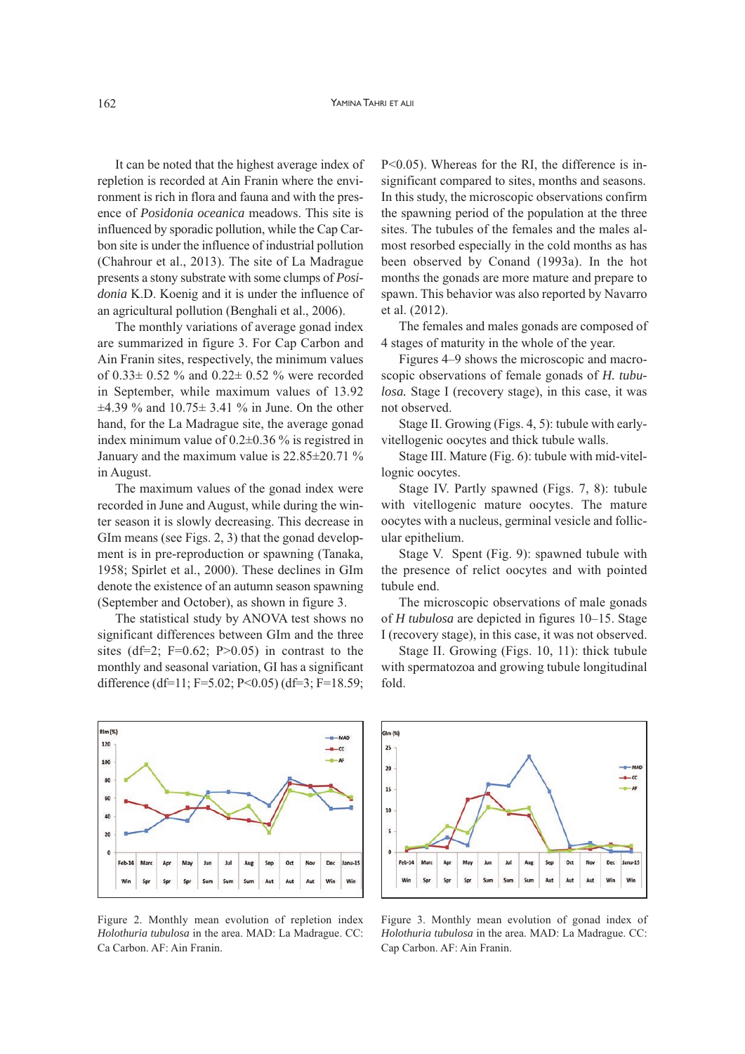It can be noted that the highest average index of repletion is recorded at Ain Franin where the environment is rich in flora and fauna and with the presence of *Posidonia oceanica* meadows. This site is influenced by sporadic pollution, while the Cap Carbon site is under the influence of industrial pollution (Chahrour et al., 2013). The site of La Madrague presents a stony substrate with some clumps of *Posidonia* K.D. Koenig and it is under the influence of an agricultural pollution (Benghali et al., 2006).

The monthly variations of average gonad index are summarized in figure 3. For Cap Carbon and Ain Franin sites, respectively, the minimum values of 0.33± 0.52 % and 0.22± 0.52 % were recorded in September, while maximum values of 13.92 ±4.39 % and 10.75± 3.41 % in June. On the other hand, for the La Madrague site, the average gonad index minimum value of 0.2±0.36 % is registred in January and the maximum value is 22.85±20.71 % in August.

The maximum values of the gonad index were recorded in June and August, while during the winter season it is slowly decreasing. This decrease in GIm means (see Figs. 2, 3) that the gonad development is in pre-reproduction or spawning (Tanaka, 1958; Spirlet et al., 2000). These declines in GIm denote the existence of an autumn season spawning (September and October), as shown in figure 3.

The statistical study by ANOVA test shows no significant differences between GIm and the three sites (df=2;  $F=0.62$ ;  $P>0.05$ ) in contrast to the monthly and seasonal variation, GI has a significant difference (df=11; F=5.02; P<0.05) (df=3; F=18.59;

P<0.05). Whereas for the RI, the difference is insignificant compared to sites, months and seasons. In this study, the microscopic observations confirm the spawning period of the population at the three sites. The tubules of the females and the males almost resorbed especially in the cold months as has been observed by Conand (1993a). In the hot months the gonads are more mature and prepare to spawn. This behavior was also reported by Navarro et al. (2012).

The females and males gonads are composed of 4 stages of maturity in the whole of the year.

Figures 4–9 shows the microscopic and macroscopic observations of female gonads of *H. tubulosa.* Stage I (recovery stage), in this case, it was not observed.

Stage II. Growing (Figs. 4, 5): tubule with earlyvitellogenic oocytes and thick tubule walls.

Stage III. Mature (Fig. 6): tubule with mid-vitellognic oocytes.

Stage IV. Partly spawned (Figs. 7, 8): tubule with vitellogenic mature oocytes. The mature oocytes with a nucleus, germinal vesicle and follicular epithelium.

Stage V. Spent (Fig. 9): spawned tubule with the presence of relict oocytes and with pointed tubule end.

The microscopic observations of male gonads of *H tubulosa* are depicted in figures 10–15. Stage I (recovery stage), in this case, it was not observed.

Stage II. Growing (Figs. 10, 11): thick tubule with spermatozoa and growing tubule longitudinal fold.



Figure 2. Monthly mean evolution of repletion index *Holothuria tubulosa* in the area. MAD: La Madrague. CC: Ca Carbon. AF: Ain Franin.



Figure 3. Monthly mean evolution of gonad index of *Holothuria tubulosa* in the area. MAD: La Madrague. CC: Cap Carbon. AF: Ain Franin.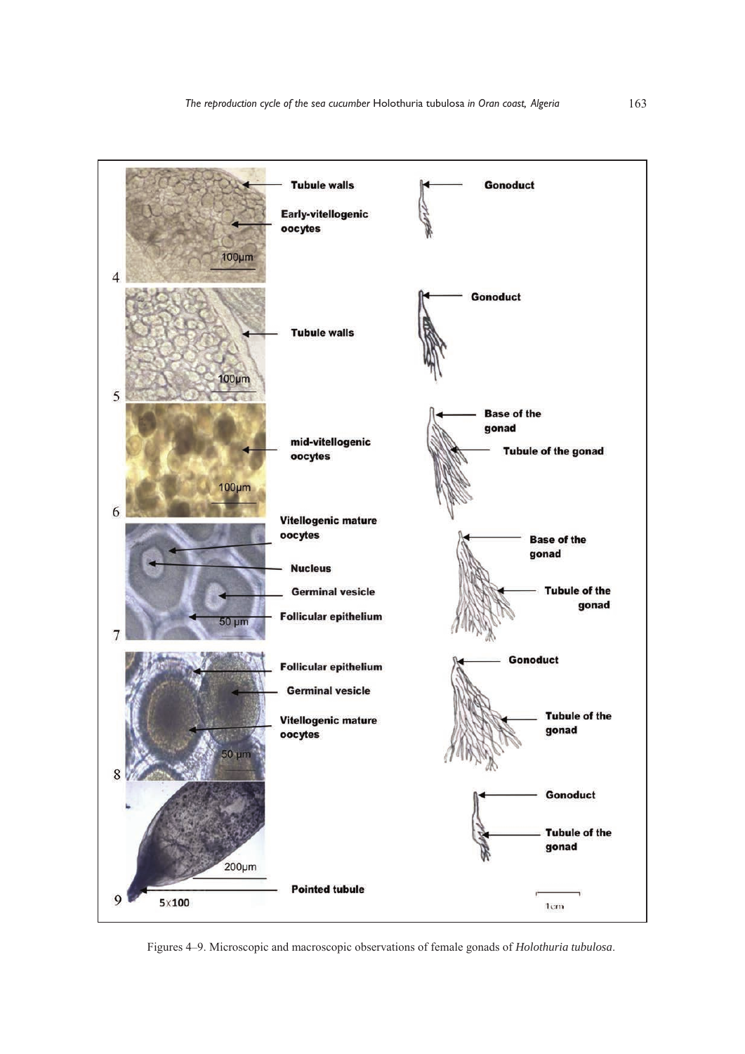

Figures 4–9. Microscopic and macroscopic observations of female gonads of *Holothuria tubulosa*.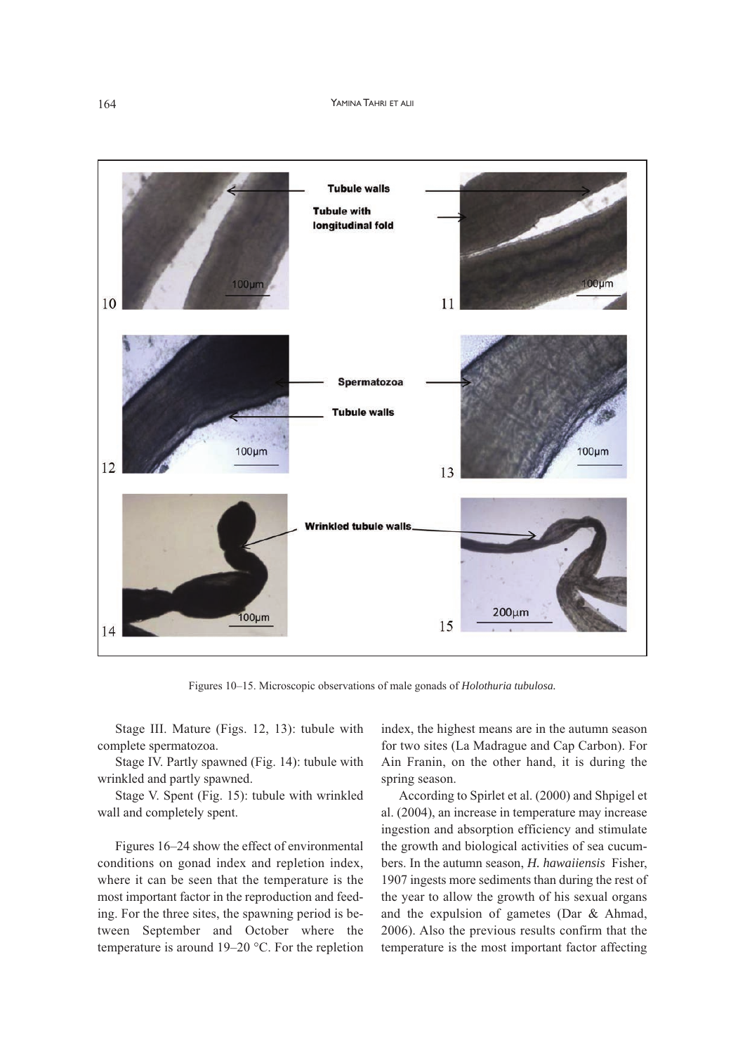

Figures 10–15. Microscopic observations of male gonads of *Holothuria tubulosa.*

Stage III. Mature (Figs. 12, 13): tubule with complete spermatozoa.

Stage IV. Partly spawned (Fig. 14): tubule with wrinkled and partly spawned.

Stage V. Spent (Fig. 15): tubule with wrinkled wall and completely spent.

Figures 16–24 show the effect of environmental conditions on gonad index and repletion index, where it can be seen that the temperature is the most important factor in the reproduction and feeding. For the three sites, the spawning period is between September and October where the temperature is around 19–20 °C. For the repletion index, the highest means are in the autumn season for two sites (La Madrague and Cap Carbon). For Ain Franin, on the other hand, it is during the spring season.

According to Spirlet et al. (2000) and Shpigel et al. (2004), an increase in temperature may increase ingestion and absorption efficiency and stimulate the growth and biological activities of sea cucumbers. In the autumn season, *H. hawaiiensis* Fisher, 1907 ingests more sediments than during the rest of the year to allow the growth of his sexual organs and the expulsion of gametes (Dar & Ahmad, 2006). Also the previous results confirm that the temperature is the most important factor affecting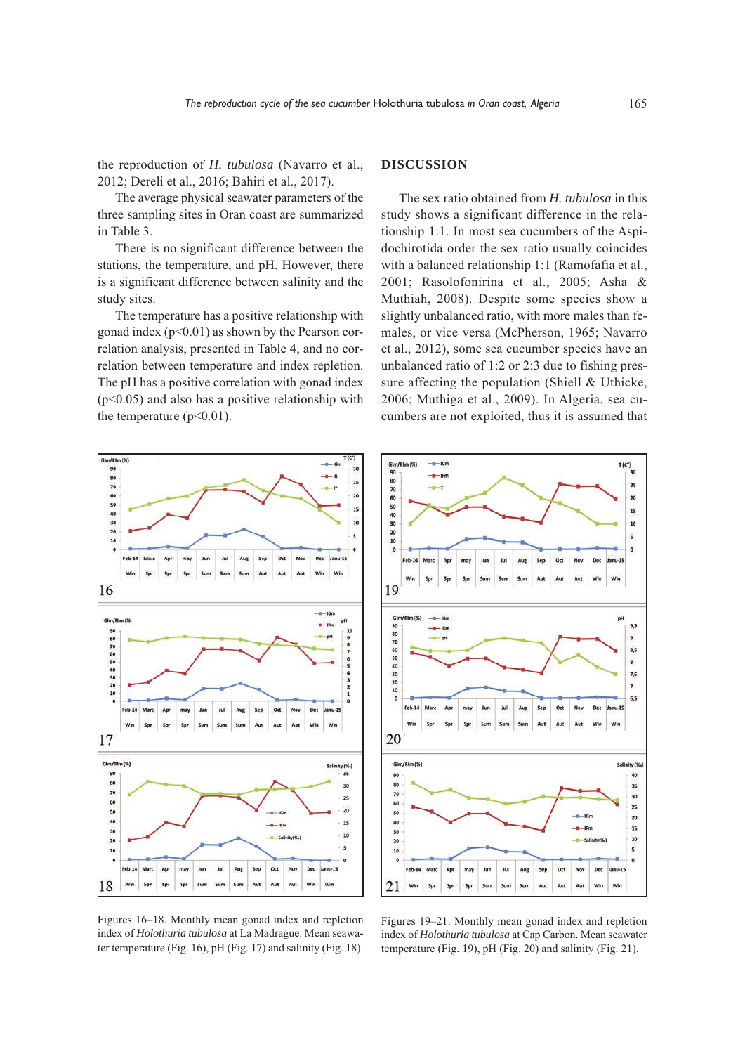the reproduction of *H. tubulosa* (Navarro et al., 2012; Dereli et al., 2016; Bahiri et al., 2017).

The average physical seawater parameters of the three sampling sites in Oran coast are summarized in Table 3.

There is no significant difference between the stations, the temperature, and pH. However, there is a significant difference between salinity and the study sites.

The temperature has a positive relationship with gonad index  $(p<0.01)$  as shown by the Pearson correlation analysis, presented in Table 4, and no correlation between temperature and index repletion. The pH has a positive correlation with gonad index  $(p<0.05)$  and also has a positive relationship with the temperature  $(p<0.01)$ .

## **DISCUSSION**

The sex ratio obtained from *H. tubulosa* in this study shows a significant difference in the relationship 1:1. In most sea cucumbers of the Aspidochirotida order the sex ratio usually coincides with a balanced relationship 1:1 (Ramofafia et al., 2001; Rasolofonirina et al., 2005; Asha & Muthiah, 2008). Despite some species show a slightly unbalanced ratio, with more males than females, or vice versa (McPherson, 1965; Navarro et al., 2012), some sea cucumber species have an unbalanced ratio of 1:2 or 2:3 due to fishing pressure affecting the population (Shiell & Uthicke, 2006; Muthiga et al., 2009). In Algeria, sea cucumbers are not exploited, thus it is assumed that



 $T(C^*)$  $-16n$ Glm/Rlm (%)  $-$ IRe 80 25 Ľ.  $70$  $\overline{20}$ 60<br>50<br>50<br>30<br>20<br>10  $15$ 10  $\epsilon$  $\overline{0}$  $Feb-14$ Apr Od 19  $9,5$ 80<br>70<br>60<br>50<br>40<br>30<br>20<br>10  $\bullet$ 8,5  $\overline{\mathbf{R}}$  $7,5$ Feb-14 Marc Apr Jun Jul Oct **Nov** Dec may Aug Sep Janu-19 Win Spr Sp Aut Win 20 Glm/Rim (%) 90 40 80  $35$ 70 30 60  $25$ 50  $20$ 40  $15$  $30$ 10  $_{20}$  $\overline{\mathbf{s}}$  $10$ Jul Oct  $anu-15$ Feb-14 Apr Jun Aug Sep **Nov** Dec 21 Aut Win Spr Spr Sum Sum Aut Aut Wir Spr Sum

Figures 16–18. Monthly mean gonad index and repletion index of *Holothuria tubulosa* at La Madrague. Mean seawater temperature (Fig. 16), pH (Fig. 17) and salinity (Fig. 18).

Figures 19–21. Monthly mean gonad index and repletion index of *Holothuria tubulosa* at Cap Carbon. Mean seawater temperature (Fig. 19), pH (Fig. 20) and salinity (Fig. 21).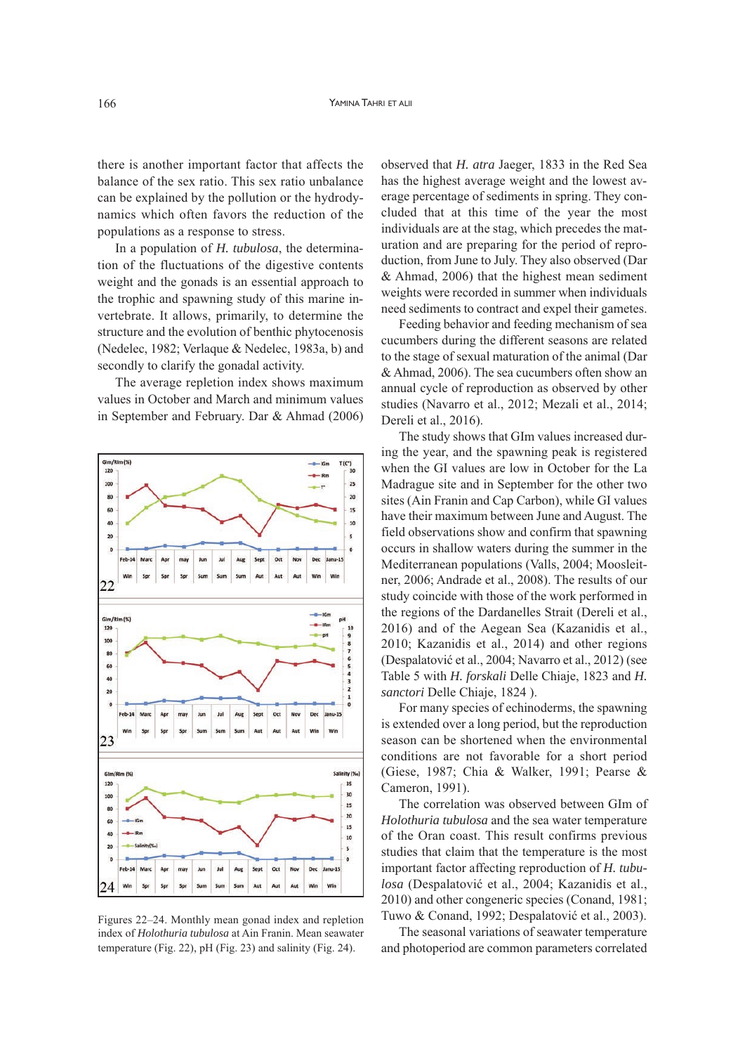there is another important factor that affects the balance of the sex ratio. This sex ratio unbalance can be explained by the pollution or the hydrodynamics which often favors the reduction of the populations as a response to stress.

In a population of *H. tubulosa*, the determination of the fluctuations of the digestive contents weight and the gonads is an essential approach to the trophic and spawning study of this marine invertebrate. It allows, primarily, to determine the structure and the evolution of benthic phytocenosis (Nedelec, 1982; Verlaque & Nedelec, 1983a, b) and secondly to clarify the gonadal activity.

The average repletion index shows maximum values in October and March and minimum values in September and February. Dar & Ahmad (2006)



Figures 22–24. Monthly mean gonad index and repletion index of *Holothuria tubulosa* at Ain Franin. Mean seawater temperature (Fig. 22), pH (Fig. 23) and salinity (Fig. 24).

observed that *H. atra* Jaeger, 1833 in the Red Sea has the highest average weight and the lowest average percentage of sediments in spring. They concluded that at this time of the year the most individuals are at the stag, which precedes the maturation and are preparing for the period of reproduction, from June to July. They also observed (Dar & Ahmad, 2006) that the highest mean sediment weights were recorded in summer when individuals need sediments to contract and expel their gametes.

Feeding behavior and feeding mechanism of sea cucumbers during the different seasons are related to the stage of sexual maturation of the animal (Dar & Ahmad, 2006). The sea cucumbers often show an annual cycle of reproduction as observed by other studies (Navarro et al., 2012; Mezali et al., 2014; Dereli et al., 2016).

The study shows that GIm values increased during the year, and the spawning peak is registered when the GI values are low in October for the La Madrague site and in September for the other two sites (Ain Franin and Cap Carbon), while GI values have their maximum between June and August. The field observations show and confirm that spawning occurs in shallow waters during the summer in the Mediterranean populations (Valls, 2004; Moosleitner, 2006; Andrade et al., 2008). The results of our study coincide with those of the work performed in the regions of the Dardanelles Strait (Dereli et al., 2016) and of the Aegean Sea (Kazanidis et al., 2010; Kazanidis et al., 2014) and other regions (Despalatović et al., 2004; Navarro et al., 2012) (see Table 5 with *H. forskali* Delle Chiaje, 1823 and *H. sanctori* Delle Chiaje, 1824 ).

For many species of echinoderms, the spawning is extended over a long period, but the reproduction season can be shortened when the environmental conditions are not favorable for a short period (Giese, 1987; Chia & Walker, 1991; Pearse & Cameron, 1991).

The correlation was observed between GIm of *Holothuria tubulosa* and the sea water temperature of the Oran coast. This result confirms previous studies that claim that the temperature is the most important factor affecting reproduction of *H. tubulosa* (Despalatović et al., 2004; Kazanidis et al., 2010) and other congeneric species (Conand, 1981; Tuwo & Conand, 1992; Despalatović et al., 2003).

The seasonal variations of seawater temperature and photoperiod are common parameters correlated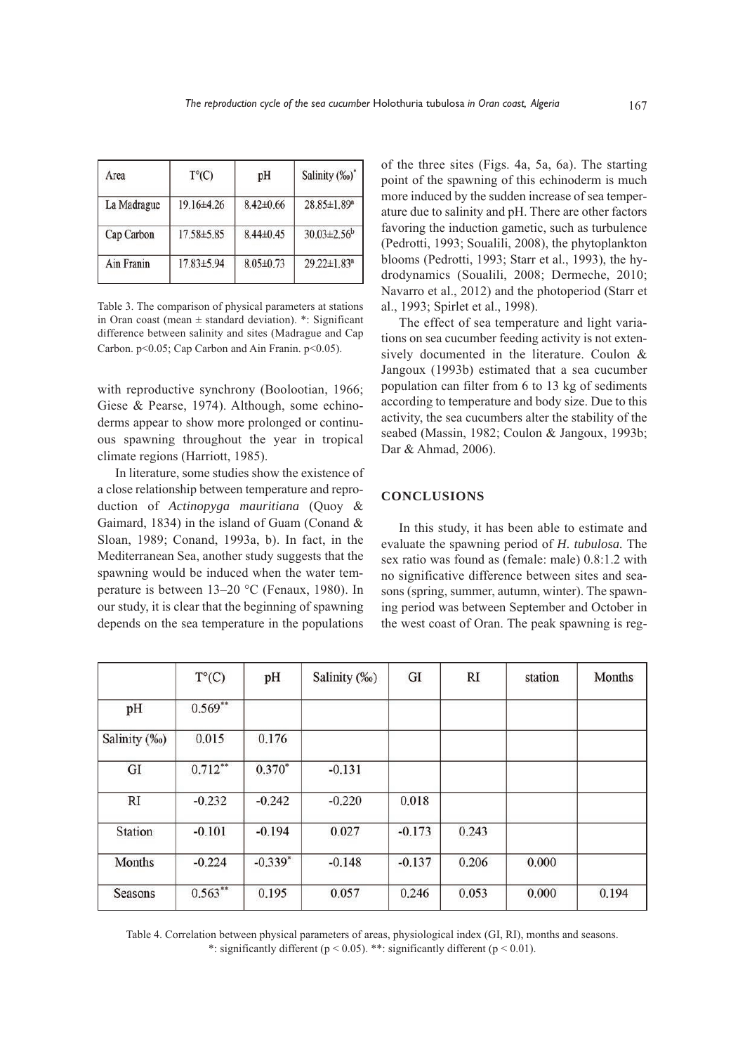| Area        | $T^{\circ}(C)$   | pH              | Salinity (‰)*                 |
|-------------|------------------|-----------------|-------------------------------|
| La Madrague | $19.16\pm4.26$   | $8.42\pm0.66$   | 28.85±1.89 <sup>a</sup>       |
| Cap Carbon  | 17.58±5.85       | $8.44\pm0.45$   | $30.03 \pm 2.56^b$            |
| Ain Franin  | $17.83 \pm 5.94$ | $8.05 \pm 0.73$ | $29.22 \pm 1.83$ <sup>a</sup> |

Table 3. The comparison of physical parameters at stations in Oran coast (mean  $\pm$  standard deviation). \*: Significant difference between salinity and sites (Madrague and Cap Carbon. p<0.05; Cap Carbon and Ain Franin. p<0.05).

with reproductive synchrony (Boolootian, 1966; Giese & Pearse, 1974). Although, some echinoderms appear to show more prolonged or continuous spawning throughout the year in tropical climate regions (Harriott, 1985).

In literature, some studies show the existence of a close relationship between temperature and reproduction of *Actinopyga mauritiana* (Quoy & Gaimard, 1834) in the island of Guam (Conand & Sloan, 1989; Conand, 1993a, b). In fact, in the Mediterranean Sea, another study suggests that the spawning would be induced when the water temperature is between 13–20 °C (Fenaux, 1980). In our study, it is clear that the beginning of spawning depends on the sea temperature in the populations

of the three sites (Figs. 4a, 5a, 6a). The starting point of the spawning of this echinoderm is much more induced by the sudden increase of sea temperature due to salinity and pH. There are other factors favoring the induction gametic, such as turbulence (Pedrotti, 1993; Soualili, 2008), the phytoplankton blooms (Pedrotti, 1993; Starr et al., 1993), the hydrodynamics (Soualili, 2008; Dermeche, 2010; Navarro et al., 2012) and the photoperiod (Starr et al., 1993; Spirlet et al., 1998).

The effect of sea temperature and light variations on sea cucumber feeding activity is not extensively documented in the literature. Coulon & Jangoux (1993b) estimated that a sea cucumber population can filter from 6 to 13 kg of sediments according to temperature and body size. Due to this activity, the sea cucumbers alter the stability of the seabed (Massin, 1982; Coulon & Jangoux, 1993b; Dar & Ahmad, 2006).

#### **CONCLUSIONS**

In this study, it has been able to estimate and evaluate the spawning period of *H. tubulosa.* The sex ratio was found as (female: male) 0.8:1.2 with no significative difference between sites and seasons (spring, summer, autumn, winter). The spawning period was between September and October in the west coast of Oran. The peak spawning is reg-

|                | $T^{\circ}(C)$ | pH        | Salinity (‰) | GI       | RI    | station | Months |
|----------------|----------------|-----------|--------------|----------|-------|---------|--------|
| pH             | $0.569**$      |           |              |          |       |         |        |
| Salinity (‰)   | 0.015          | 0.176     |              |          |       |         |        |
| GI             | $0.712***$     | $0.370*$  | $-0.131$     |          |       |         |        |
| <b>RI</b>      | $-0.232$       | $-0.242$  | $-0.220$     | 0.018    |       |         |        |
| <b>Station</b> | $-0.101$       | $-0.194$  | 0.027        | $-0.173$ | 0.243 |         |        |
| Months         | $-0.224$       | $-0.339*$ | $-0.148$     | $-0.137$ | 0.206 | 0.000   |        |
| Seasons        | $0.563***$     | 0.195     | 0.057        | 0.246    | 0.053 | 0.000   | 0.194  |

Table 4. Correlation between physical parameters of areas, physiological index (GI, RI), months and seasons. \*: significantly different ( $p < 0.05$ ). \*\*: significantly different ( $p < 0.01$ ).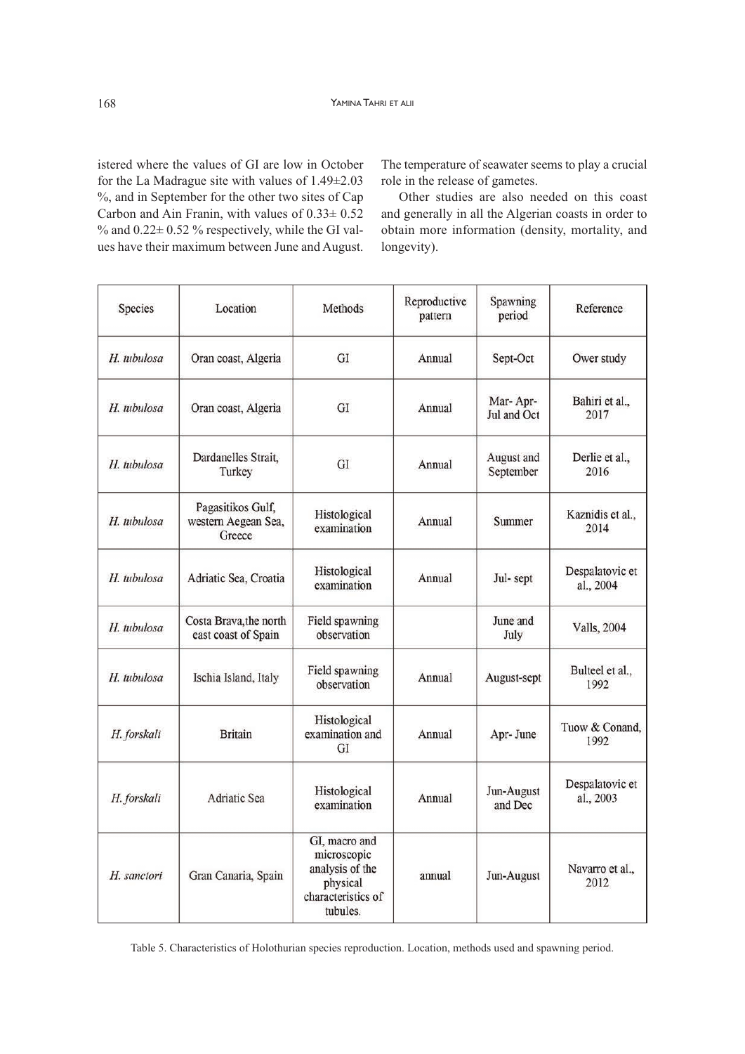istered where the values of GI are low in October for the La Madrague site with values of 1.49±2.03 %, and in September for the other two sites of Cap Carbon and Ain Franin, with values of  $0.33 \pm 0.52$ % and  $0.22 \pm 0.52$  % respectively, while the GI values have their maximum between June and August.

The temperature of seawater seems to play a crucial role in the release of gametes.

Other studies are also needed on this coast and generally in all the Algerian coasts in order to obtain more information (density, mortality, and longevity).

| Species     | Location                                           | <b>Methods</b>                                                                                | Reproductive<br>pattern | Spawning<br>period      | Reference                    |
|-------------|----------------------------------------------------|-----------------------------------------------------------------------------------------------|-------------------------|-------------------------|------------------------------|
| H. tubulosa | Oran coast, Algeria                                | GI                                                                                            | Annual                  | Sept-Oct                | Ower study                   |
| H. tubulosa | Oran coast, Algeria                                | GI                                                                                            | Annual                  | Mar-Apr-<br>Jul and Oct | Bahiri et al.,<br>2017       |
| H. tubulosa | Dardanelles Strait,<br>Turkey                      | GI                                                                                            | Annual                  | August and<br>September | Derlie et al.,<br>2016       |
| H. tubulosa | Pagasitikos Gulf,<br>western Aegean Sea,<br>Greece | Histological<br>examination                                                                   | Annual                  | Summer                  | Kaznidis et al.,<br>2014     |
| H. tubulosa | Adriatic Sea, Croatia                              | Histological<br>examination                                                                   | Annual                  | Jul-sept                | Despalatovic et<br>al., 2004 |
| H. tubulosa | Costa Brava, the north<br>east coast of Spain      | Field spawning<br>observation                                                                 |                         | June and<br>July        | <b>Valls</b> , 2004          |
| H. tubulosa | Ischia Island, Italy                               | Field spawning<br>observation                                                                 | Annual                  | August-sept             | Bulteel et al.,<br>1992      |
| H. forskali | <b>Britain</b>                                     | Histological<br>examination and<br>GI                                                         | Annual                  | Apr- June               | Tuow & Conand,<br>1992       |
| H. forskali | <b>Adriatic Sea</b>                                | Histological<br>examination                                                                   | Annual                  | Jun-August<br>and Dec   | Despalatovic et<br>al., 2003 |
| H. sanctori | Gran Canaria, Spain                                | GI, macro and<br>microscopic<br>analysis of the<br>physical<br>characteristics of<br>tubules. | annual                  | Jun-August              | Navarro et al.,<br>2012      |

Table 5. Characteristics of Holothurian species reproduction. Location, methods used and spawning period.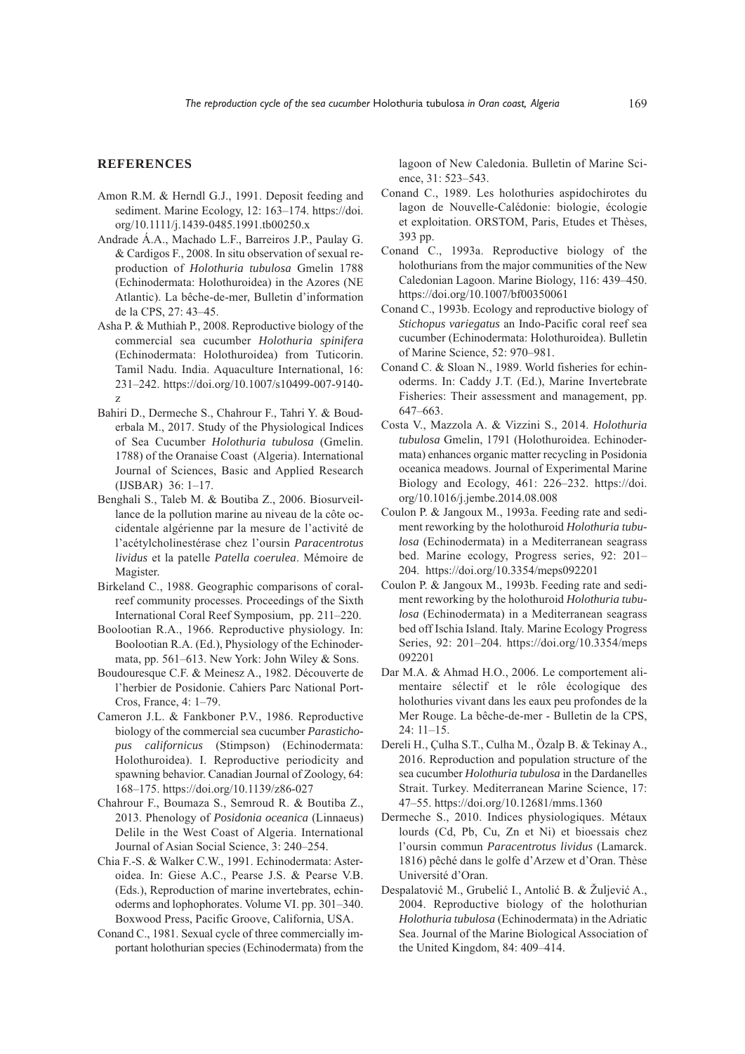#### **REFERENCES**

- Amon R.M. & Herndl G.J., 1991. Deposit feeding and sediment. Marine Ecology, 12: 163–174. https://doi. org/10.1111/j.1439-0485.1991.tb00250.x
- Andrade Á.A., Machado L.F., Barreiros J.P., Paulay G. & Cardigos F., 2008. In situ observation of sexual reproduction of *Holothuria tubulosa* Gmelin 1788 (Echinodermata: Holothuroidea) in the Azores (NE Atlantic). La bêche-de-mer, Bulletin d'information de la CPS, 27: 43–45.
- Asha P. & Muthiah P., 2008. Reproductive biology of the commercial sea cucumber *Holothuria spinifera* (Echinodermata: Holothuroidea) from Tuticorin. Tamil Nadu. India. Aquaculture International, 16: 231–242. https://doi.org/10.1007/s10499-007-9140 z
- Bahiri D., Dermeche S., Chahrour F., Tahri Y. & Bouderbala M., 2017. Study of the Physiological Indices of Sea Cucumber *Holothuria tubulosa* (Gmelin. 1788) of the Oranaise Coast (Algeria). International Journal of Sciences, Basic and Applied Research (IJSBAR) 36: 1–17.
- Benghali S., Taleb M. & Boutiba Z., 2006. Biosurveillance de la pollution marine au niveau de la côte occidentale algérienne par la mesure de l'activité de l'acétylcholinestérase chez l'oursin *Paracentrotus lividus* et la patelle *Patella coerulea*. Mémoire de Magister.
- Birkeland C., 1988. Geographic comparisons of coralreef community processes. Proceedings of the Sixth International Coral Reef Symposium, pp. 211–220.
- Boolootian R.A., 1966. Reproductive physiology. In: Boolootian R.A. (Ed.), Physiology of the Echinodermata, pp. 561–613. New York: John Wiley & Sons.
- Boudouresque C.F. & Meinesz A., 1982. Découverte de l'herbier de Posidonie. Cahiers Parc National Port-Cros, France, 4: 1–79.
- Cameron J.L. & Fankboner P.V., 1986. Reproductive biology of the commercial sea cucumber *Parastichopus californicus* (Stimpson) (Echinodermata: Holothuroidea). I. Reproductive periodicity and spawning behavior. Canadian Journal of Zoology, 64: 168–175. https://doi.org/10.1139/z86-027
- Chahrour F., Boumaza S., Semroud R. & Boutiba Z., 2013. Phenology of *Posidonia oceanica* (Linnaeus) Delile in the West Coast of Algeria. International Journal of Asian Social Science, 3: 240–254.
- Chia F.-S. & Walker C.W., 1991. Echinodermata: Asteroidea. In: Giese A.C., Pearse J.S. & Pearse V.B. (Eds.), Reproduction of marine invertebrates, echinoderms and lophophorates. Volume VI. pp. 301–340. Boxwood Press, Pacific Groove, California, USA.
- Conand C., 1981. Sexual cycle of three commercially important holothurian species (Echinodermata) from the

lagoon of New Caledonia. Bulletin of Marine Science, 31: 523–543.

- Conand C., 1989. Les holothuries aspidochirotes du lagon de Nouvelle-Calédonie: biologie, écologie et exploitation. ORSTOM, Paris, Etudes et Thèses, 393 pp.
- Conand C., 1993a. Reproductive biology of the holothurians from the major communities of the New Caledonian Lagoon. Marine Biology, 116: 439–450. https://doi.org/10.1007/bf00350061
- Conand C., 1993b. Ecology and reproductive biology of *Stichopus variegatus* an Indo-Pacific coral reef sea cucumber (Echinodermata: Holothuroidea). Bulletin of Marine Science, 52: 970–981.
- Conand C. & Sloan N., 1989. World fisheries for echinoderms. In: Caddy J.T. (Ed.), Marine Invertebrate Fisheries: Their assessment and management, pp. 647–663.
- Costa V., Mazzola A. & Vizzini S., 2014. *Holothuria tubulosa* Gmelin, 1791 (Holothuroidea. Echinodermata) enhances organic matter recycling in Posidonia oceanica meadows. Journal of Experimental Marine Biology and Ecology, 461: 226–232. https://doi. org/10.1016/j.jembe.2014.08.008
- Coulon P. & Jangoux M., 1993a. Feeding rate and sediment reworking by the holothuroid *Holothuria tubulosa* (Echinodermata) in a Mediterranean seagrass bed. Marine ecology, Progress series, 92: 201– 204. https://doi.org/10.3354/meps092201
- Coulon P. & Jangoux M., 1993b. Feeding rate and sediment reworking by the holothuroid *Holothuria tubulosa* (Echinodermata) in a Mediterranean seagrass bed off Ischia Island. Italy. Marine Ecology Progress Series, 92: 201–204. https://doi.org/10.3354/meps 092201
- Dar M.A. & Ahmad H.O., 2006. Le comportement alimentaire sélectif et le rôle écologique des holothuries vivant dans les eaux peu profondes de la Mer Rouge. La bêche-de-mer - Bulletin de la CPS, 24: 11–15.
- Dereli H., Çulha S.T., Culha M., Özalp B. & Tekinay A., 2016. Reproduction and population structure of the sea cucumber *Holothuria tubulosa* in the Dardanelles Strait. Turkey. Mediterranean Marine Science, 17: 47–55. https://doi.org/10.12681/mms.1360
- Dermeche S., 2010. Indices physiologiques. Métaux lourds (Cd, Pb, Cu, Zn et Ni) et bioessais chez l'oursin commun *Paracentrotus lividus* (Lamarck. 1816) pêché dans le golfe d'Arzew et d'Oran. Thèse Université d'Oran.
- Despalatović M., Grubelić I., Antolić B. & Žuljević A., 2004. Reproductive biology of the holothurian *Holothuria tubulosa* (Echinodermata) in the Adriatic Sea. Journal of the Marine Biological Association of the United Kingdom, 84: 409–414.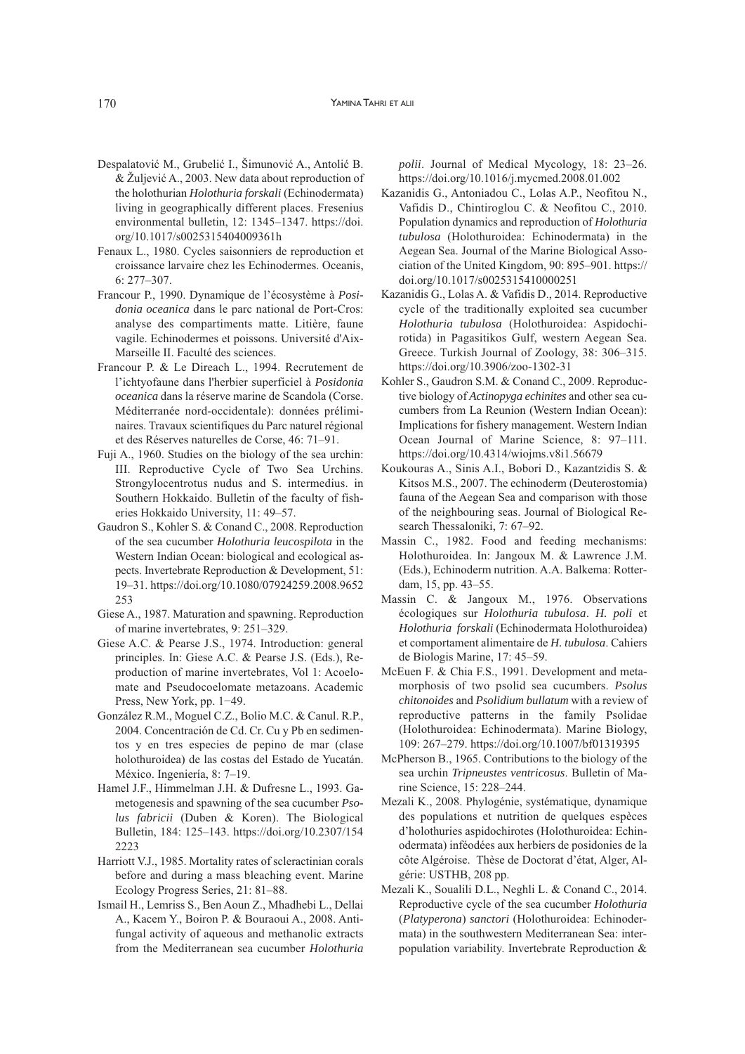- Despalatović M., Grubelić I., Šimunović A., Antolić B. & Žuljević A., 2003. New data about reproduction of the holothurian *Holothuria forskali* (Echinodermata) living in geographically different places. Fresenius environmental bulletin, 12: 1345–1347. https://doi. org/10.1017/s0025315404009361h
- Fenaux L., 1980. Cycles saisonniers de reproduction et croissance larvaire chez les Echinodermes. Oceanis, 6: 277–307.
- Francour P., 1990. Dynamique de l'écosystème à *Posidonia oceanica* dans le parc national de Port-Cros: analyse des compartiments matte. Litière, faune vagile. Echinodermes et poissons. Université d'Aix-Marseille II. Faculté des sciences.
- Francour P. & Le Direach L., 1994. Recrutement de l'ichtyofaune dans l'herbier superficiel à *Posidonia oceanica* dans la réserve marine de Scandola (Corse. Méditerranée nord-occidentale): données préliminaires. Travaux scientifiques du Parc naturel régional et des Réserves naturelles de Corse, 46: 71–91.
- Fuji A., 1960. Studies on the biology of the sea urchin: III. Reproductive Cycle of Two Sea Urchins. Strongylocentrotus nudus and S. intermedius. in Southern Hokkaido. Bulletin of the faculty of fisheries Hokkaido University, 11: 49–57.
- Gaudron S., Kohler S. & Conand C., 2008. Reproduction of the sea cucumber *Holothuria leucospilota* in the Western Indian Ocean: biological and ecological aspects. Invertebrate Reproduction & Development, 51: 19–31. https://doi.org/10.1080/07924259.2008.9652 253
- Giese A., 1987. Maturation and spawning. Reproduction of marine invertebrates, 9: 251–329.
- Giese A.C. & Pearse J.S., 1974. Introduction: general principles. In: Giese A.C. & Pearse J.S. (Eds.), Reproduction of marine invertebrates, Vol 1: Acoelomate and Pseudocoelomate metazoans. Academic Press, New York, pp. 1−49.
- González R.M., Moguel C.Z., Bolio M.C. & Canul. R.P., 2004. Concentración de Cd. Cr. Cu y Pb en sedimentos y en tres especies de pepino de mar (clase holothuroidea) de las costas del Estado de Yucatán. México. Ingeniería, 8: 7–19.
- Hamel J.F., Himmelman J.H. & Dufresne L., 1993. Gametogenesis and spawning of the sea cucumber *Psolus fabricii* (Duben & Koren). The Biological Bulletin, 184: 125–143. https://doi.org/10.2307/154 2223
- Harriott V.J., 1985. Mortality rates of scleractinian corals before and during a mass bleaching event. Marine Ecology Progress Series, 21: 81–88.
- Ismail H., Lemriss S., Ben Aoun Z., Mhadhebi L., Dellai A., Kacem Y., Boiron P. & Bouraoui A., 2008. Antifungal activity of aqueous and methanolic extracts from the Mediterranean sea cucumber *Holothuria*

*polii*. Journal of Medical Mycology, 18: 23–26. https://doi.org/10.1016/j.mycmed.2008.01.002

- Kazanidis G., Antoniadou C., Lolas A.P., Neofitou N., Vafidis D., Chintiroglou C. & Neofitou C., 2010. Population dynamics and reproduction of *Holothuria tubulosa* (Holothuroidea: Echinodermata) in the Aegean Sea. Journal of the Marine Biological Association of the United Kingdom, 90: 895–901. https:// doi.org/10.1017/s0025315410000251
- Kazanidis G., Lolas A. & Vafidis D., 2014. Reproductive cycle of the traditionally exploited sea cucumber *Holothuria tubulosa* (Holothuroidea: Aspidochirotida) in Pagasitikos Gulf, western Aegean Sea. Greece. Turkish Journal of Zoology, 38: 306–315. https://doi.org/10.3906/zoo-1302-31
- Kohler S., Gaudron S.M. & Conand C., 2009. Reproductive biology of *Actinopyga echinites* and other sea cucumbers from La Reunion (Western Indian Ocean): Implications for fishery management. Western Indian Ocean Journal of Marine Science, 8: 97–111. https://doi.org/10.4314/wiojms.v8i1.56679
- Koukouras A., Sinis A.I., Bobori D., Kazantzidis S. & Kitsos M.S., 2007. The echinoderm (Deuterostomia) fauna of the Aegean Sea and comparison with those of the neighbouring seas. Journal of Biological Research Thessaloniki, 7: 67–92.
- Massin C., 1982. Food and feeding mechanisms: Holothuroidea. In: Jangoux M. & Lawrence J.M. (Eds.), Echinoderm nutrition. A.A. Balkema: Rotterdam, 15, pp. 43–55.
- Massin C. & Jangoux M., 1976. Observations écologiques sur *Holothuria tubulosa*. *H. poli* et *Holothuria forskali* (Echinodermata Holothuroidea) et comportament alimentaire de *H. tubulosa*. Cahiers de Biologis Marine, 17: 45–59.
- McEuen F. & Chia F.S., 1991. Development and metamorphosis of two psolid sea cucumbers. *Psolus chitonoides* and *Psolidium bullatum* with a review of reproductive patterns in the family Psolidae (Holothuroidea: Echinodermata). Marine Biology, 109: 267–279. https://doi.org/10.1007/bf01319395
- McPherson B., 1965. Contributions to the biology of the sea urchin *Tripneustes ventricosus*. Bulletin of Marine Science, 15: 228–244.
- Mezali K., 2008. Phylogénie, systématique, dynamique des populations et nutrition de quelques espèces d'holothuries aspidochirotes (Holothuroidea: Echinodermata) inféodées aux herbiers de posidonies de la côte Algéroise. Thèse de Doctorat d'état, Alger, Algérie: USTHB, 208 pp.
- Mezali K., Soualili D.L., Neghli L. & Conand C., 2014. Reproductive cycle of the sea cucumber *Holothuria* (*Platyperona*) *sanctori* (Holothuroidea: Echinodermata) in the southwestern Mediterranean Sea: interpopulation variability. Invertebrate Reproduction &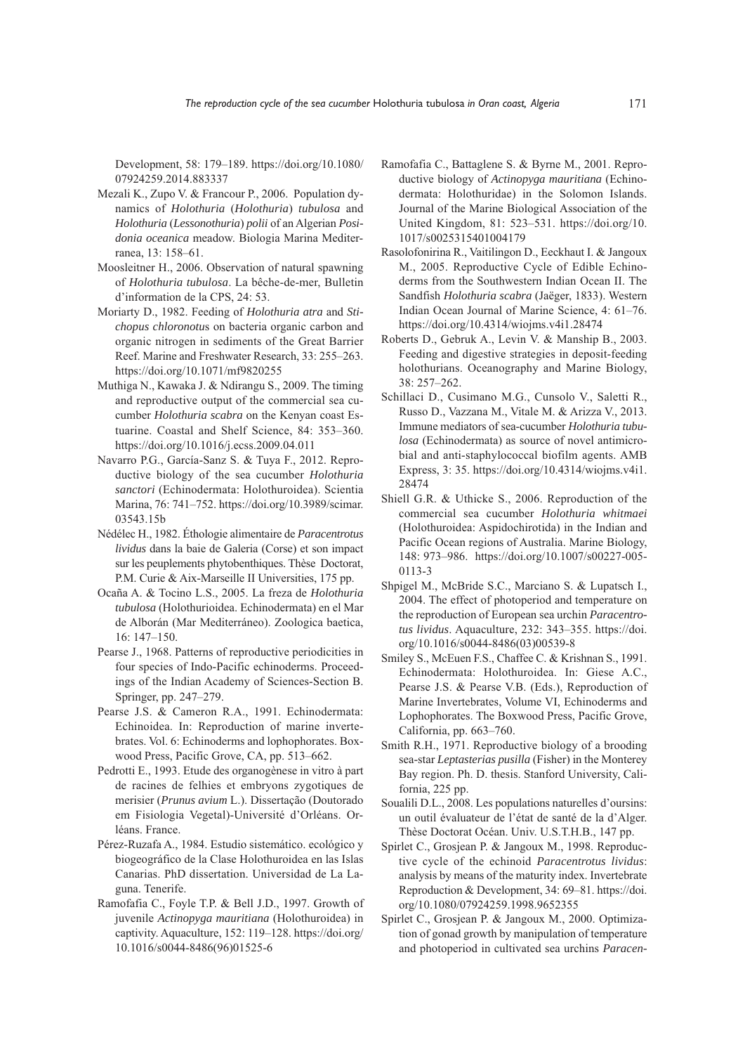Development, 58: 179–189. https://doi.org/10.1080/ 07924259.2014.883337

- Mezali K., Zupo V. & Francour P., 2006. Population dynamics of *Holothuria* (*Holothuria*) *tubulosa* and *Holothuria* (*Lessonothuria*) *polii* of an Algerian *Posidonia oceanica* meadow. Biologia Marina Mediterranea, 13: 158–61.
- Moosleitner H., 2006. Observation of natural spawning of *Holothuria tubulosa*. La bêche-de-mer, Bulletin d'information de la CPS, 24: 53.
- Moriarty D., 1982. Feeding of *Holothuria atra* and *Stichopus chloronotu*s on bacteria organic carbon and organic nitrogen in sediments of the Great Barrier Reef. Marine and Freshwater Research, 33: 255–263. https://doi.org/10.1071/mf9820255
- Muthiga N., Kawaka J. & Ndirangu S., 2009. The timing and reproductive output of the commercial sea cucumber *Holothuria scabra* on the Kenyan coast Estuarine. Coastal and Shelf Science, 84: 353–360. https://doi.org/10.1016/j.ecss.2009.04.011
- Navarro P.G., García-Sanz S. & Tuya F., 2012. Reproductive biology of the sea cucumber *Holothuria sanctori* (Echinodermata: Holothuroidea). Scientia Marina, 76: 741–752. https://doi.org/10.3989/scimar. 03543.15b
- Nédélec H., 1982. Éthologie alimentaire de *Paracentrotus lividus* dans la baie de Galeria (Corse) et son impact sur les peuplements phytobenthiques. Thèse Doctorat, P.M. Curie & Aix-Marseille II Universities, 175 pp.
- Ocaña A. & Tocino L.S., 2005. La freza de *Holothuria tubulosa* (Holothurioidea. Echinodermata) en el Mar de Alborán (Mar Mediterráneo). Zoologica baetica, 16: 147–150.
- Pearse J., 1968. Patterns of reproductive periodicities in four species of Indo-Pacific echinoderms. Proceedings of the Indian Academy of Sciences-Section B. Springer, pp. 247–279.
- Pearse J.S. & Cameron R.A., 1991. Echinodermata: Echinoidea. In: Reproduction of marine invertebrates. Vol. 6: Echinoderms and lophophorates. Boxwood Press, Pacific Grove, CA, pp. 513–662.
- Pedrotti E., 1993. Etude des organogènese in vitro à part de racines de felhies et embryons zygotiques de merisier (*Prunus avium* L.). Dissertação (Doutorado em Fisiologia Vegetal)-Université d'Orléans. Orléans. France.
- Pérez-Ruzafa A., 1984. Estudio sistemático. ecológico y biogeográfico de la Clase Holothuroidea en las Islas Canarias. PhD dissertation. Universidad de La Laguna. Tenerife.
- Ramofafia C., Foyle T.P. & Bell J.D., 1997. Growth of juvenile *Actinopyga mauritiana* (Holothuroidea) in captivity. Aquaculture, 152: 119–128. https://doi.org/ 10.1016/s0044-8486(96)01525-6
- Ramofafia C., Battaglene S. & Byrne M., 2001. Reproductive biology of *Actinopyga mauritiana* (Echinodermata: Holothuridae) in the Solomon Islands. Journal of the Marine Biological Association of the United Kingdom, 81: 523–531. https://doi.org/10. 1017/s0025315401004179
- Rasolofonirina R., Vaitilingon D., Eeckhaut I. & Jangoux M., 2005. Reproductive Cycle of Edible Echinoderms from the Southwestern Indian Ocean II. The Sandfish *Holothuria scabra* (Jaëger, 1833). Western Indian Ocean Journal of Marine Science, 4: 61–76. https://doi.org/10.4314/wiojms.v4i1.28474
- Roberts D., Gebruk A., Levin V. & Manship B., 2003. Feeding and digestive strategies in deposit-feeding holothurians. Oceanography and Marine Biology, 38: 257–262.
- Schillaci D., Cusimano M.G., Cunsolo V., Saletti R., Russo D., Vazzana M., Vitale M. & Arizza V., 2013. Immune mediators of sea-cucumber *Holothuria tubulosa* (Echinodermata) as source of novel antimicrobial and anti-staphylococcal biofilm agents. AMB Express, 3: 35. https://doi.org/10.4314/wiojms.v4i1. 28474
- Shiell G.R. & Uthicke S., 2006. Reproduction of the commercial sea cucumber *Holothuria whitmaei* (Holothuroidea: Aspidochirotida) in the Indian and Pacific Ocean regions of Australia. Marine Biology, 148: 973–986. https://doi.org/10.1007/s00227-005- 0113-3
- Shpigel M., McBride S.C., Marciano S. & Lupatsch I., 2004. The effect of photoperiod and temperature on the reproduction of European sea urchin *Paracentrotus lividus*. Aquaculture, 232: 343–355. https://doi. org/10.1016/s0044-8486(03)00539-8
- Smiley S., McEuen F.S., Chaffee C. & Krishnan S., 1991. Echinodermata: Holothuroidea. In: Giese A.C., Pearse J.S. & Pearse V.B. (Eds.), Reproduction of Marine Invertebrates, Volume VI, Echinoderms and Lophophorates. The Boxwood Press, Pacific Grove, California, pp. 663–760.
- Smith R.H., 1971. Reproductive biology of a brooding sea-star *Leptasterias pusilla* (Fisher) in the Monterey Bay region. Ph. D. thesis. Stanford University, California, 225 pp.
- Soualili D.L., 2008. Les populations naturelles d'oursins: un outil évaluateur de l'état de santé de la d'Alger. Thèse Doctorat Océan. Univ. U.S.T.H.B., 147 pp.
- Spirlet C., Grosjean P. & Jangoux M., 1998. Reproductive cycle of the echinoid *Paracentrotus lividus*: analysis by means of the maturity index. Invertebrate Reproduction & Development, 34: 69–81. https://doi. org/10.1080/07924259.1998.9652355
- Spirlet C., Grosjean P. & Jangoux M., 2000. Optimization of gonad growth by manipulation of temperature and photoperiod in cultivated sea urchins *Paracen-*